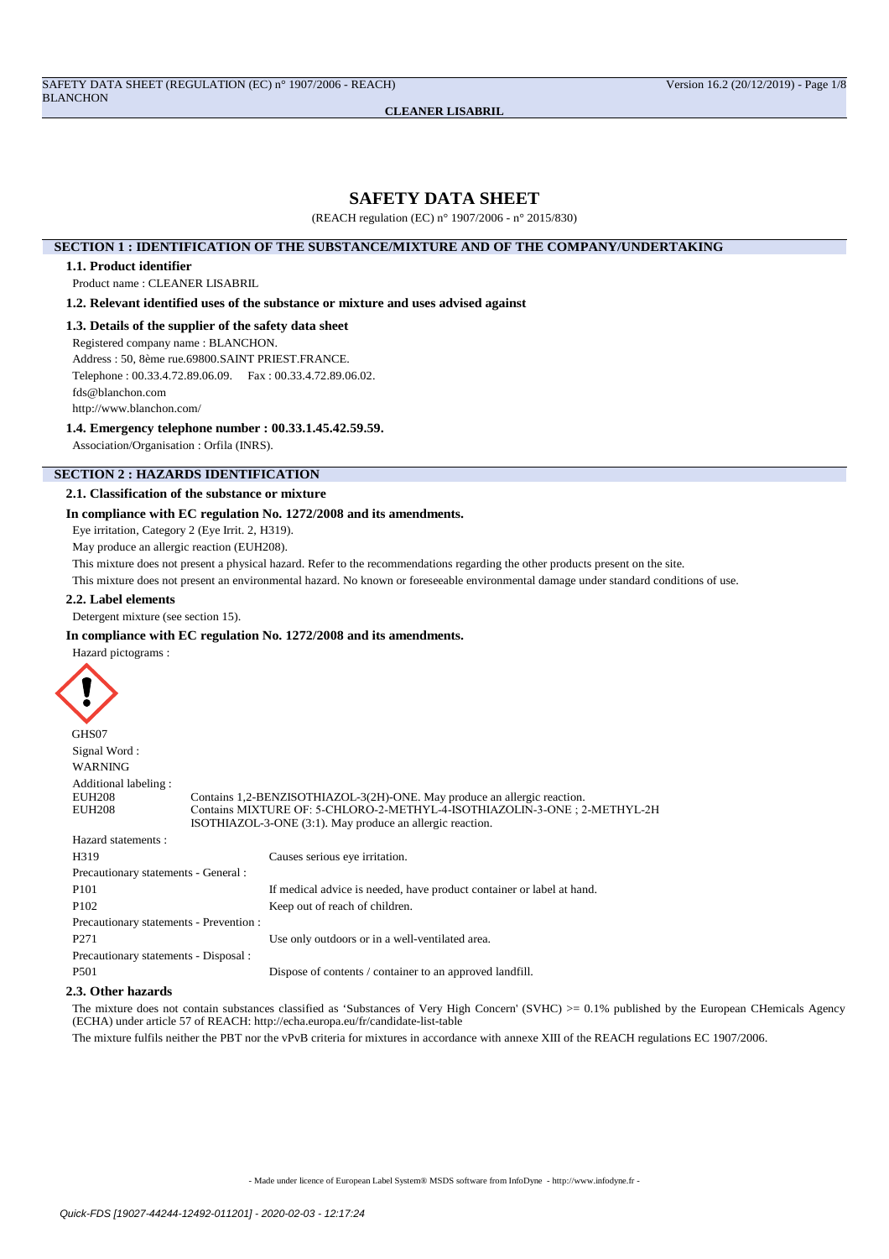## **SAFETY DATA SHEET**

(REACH regulation (EC) n° 1907/2006 - n° 2015/830)

### **SECTION 1 : IDENTIFICATION OF THE SUBSTANCE/MIXTURE AND OF THE COMPANY/UNDERTAKING**

### **1.1. Product identifier**

Product name : CLEANER LISABRIL

**1.2. Relevant identified uses of the substance or mixture and uses advised against**

#### **1.3. Details of the supplier of the safety data sheet**

Registered company name : BLANCHON.

Address : 50, 8ème rue.69800.SAINT PRIEST.FRANCE. Telephone : 00.33.4.72.89.06.09. Fax : 00.33.4.72.89.06.02.

fds@blanchon.com

http://www.blanchon.com/

#### **1.4. Emergency telephone number : 00.33.1.45.42.59.59.**

Association/Organisation : Orfila (INRS).

## **SECTION 2 : HAZARDS IDENTIFICATION**

### **2.1. Classification of the substance or mixture**

**In compliance with EC regulation No. 1272/2008 and its amendments.**

Eye irritation, Category 2 (Eye Irrit. 2, H319).

May produce an allergic reaction (EUH208).

This mixture does not present a physical hazard. Refer to the recommendations regarding the other products present on the site.

This mixture does not present an environmental hazard. No known or foreseeable environmental damage under standard conditions of use.

### **2.2. Label elements**

Detergent mixture (see section 15).

### **In compliance with EC regulation No. 1272/2008 and its amendments.**

Hazard pictograms :



| GHS07                |                                                                           |
|----------------------|---------------------------------------------------------------------------|
| Signal Word:         |                                                                           |
| WARNING              |                                                                           |
| Additional labeling: |                                                                           |
| EUH208               | Contains 1,2-BENZISOTHIAZOL-3(2H)-ONE. May produce an allergic reaction.  |
| EUH208               | Contains MIXTURE OF: 5-CHLORO-2-METHYL-4-ISOTHIAZOLIN-3-ONE ; 2-METHYL-2H |
|                      | ISOTHIAZOL-3-ONE (3:1). May produce an allergic reaction.                 |
| Hazard statements :  |                                                                           |

| H319                                    | Causes serious eye irritation.                                        |
|-----------------------------------------|-----------------------------------------------------------------------|
| Precautionary statements - General :    |                                                                       |
| P <sub>101</sub>                        | If medical advice is needed, have product container or label at hand. |
| P <sub>102</sub>                        | Keep out of reach of children.                                        |
| Precautionary statements - Prevention : |                                                                       |
| P <sub>271</sub>                        | Use only outdoors or in a well-ventilated area.                       |
| Precautionary statements - Disposal :   |                                                                       |
| P <sub>501</sub>                        | Dispose of contents / container to an approved landfill.              |

#### **2.3. Other hazards**

The mixture does not contain substances classified as 'Substances of Very High Concern' (SVHC) >= 0.1% published by the European CHemicals Agency (ECHA) under article 57 of REACH: http://echa.europa.eu/fr/candidate-list-table

The mixture fulfils neither the PBT nor the vPvB criteria for mixtures in accordance with annexe XIII of the REACH regulations EC 1907/2006.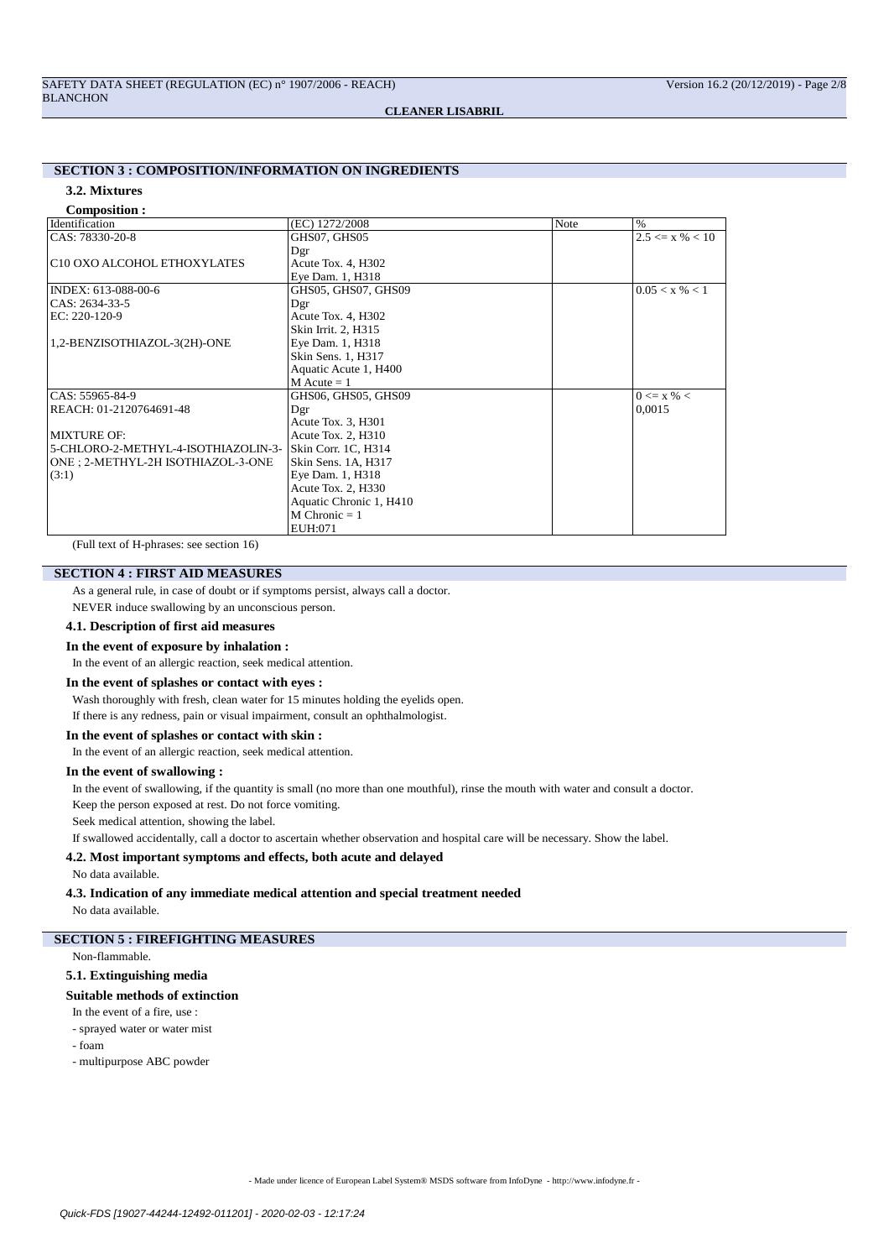## **SECTION 3 : COMPOSITION/INFORMATION ON INGREDIENTS**

## **3.2. Mixtures**

| <b>Composition:</b>                     |                         |      |                     |  |
|-----------------------------------------|-------------------------|------|---------------------|--|
| Identification                          | (EC) 1272/2008          | Note | $\%$                |  |
| CAS: 78330-20-8                         | GHS07, GHS05            |      | $2.5 \le x \% < 10$ |  |
|                                         | Dgr                     |      |                     |  |
| C <sub>10</sub> OXO ALCOHOL ETHOXYLATES | Acute Tox. 4, H302      |      |                     |  |
|                                         | Eye Dam. 1, H318        |      |                     |  |
| INDEX: 613-088-00-6                     | GHS05, GHS07, GHS09     |      | 0.05 < x % < 1      |  |
| CAS: 2634-33-5                          | Dgr                     |      |                     |  |
| EC: 220-120-9                           | Acute Tox. 4, H302      |      |                     |  |
|                                         | Skin Irrit. 2, H315     |      |                     |  |
| 1,2-BENZISOTHIAZOL-3(2H)-ONE            | Eye Dam. 1, H318        |      |                     |  |
|                                         | Skin Sens. 1, H317      |      |                     |  |
|                                         | Aquatic Acute 1, H400   |      |                     |  |
|                                         | $M$ Acute = 1           |      |                     |  |
| CAS: 55965-84-9                         | GHS06, GHS05, GHS09     |      | $0 \le x \% <$      |  |
| REACH: 01-2120764691-48                 | Dgr                     |      | 0.0015              |  |
|                                         | Acute Tox. 3, H301      |      |                     |  |
| <b>MIXTURE OF:</b>                      | Acute Tox. 2, H310      |      |                     |  |
| 5-CHLORO-2-METHYL-4-ISOTHIAZOLIN-3-     | Skin Corr. 1C, H314     |      |                     |  |
| ONE : 2-METHYL-2H ISOTHIAZOL-3-ONE      | Skin Sens. 1A, H317     |      |                     |  |
| (3:1)                                   | Eye Dam. 1, H318        |      |                     |  |
|                                         | Acute Tox. 2, H330      |      |                     |  |
|                                         | Aquatic Chronic 1, H410 |      |                     |  |
|                                         | $M$ Chronic = 1         |      |                     |  |
|                                         | EUH:071                 |      |                     |  |

(Full text of H-phrases: see section 16)

### **SECTION 4 : FIRST AID MEASURES**

As a general rule, in case of doubt or if symptoms persist, always call a doctor. NEVER induce swallowing by an unconscious person.

## **4.1. Description of first aid measures**

**In the event of exposure by inhalation :**

In the event of an allergic reaction, seek medical attention.

#### **In the event of splashes or contact with eyes :**

Wash thoroughly with fresh, clean water for 15 minutes holding the eyelids open.

If there is any redness, pain or visual impairment, consult an ophthalmologist.

## **In the event of splashes or contact with skin :**

In the event of an allergic reaction, seek medical attention.

## **In the event of swallowing :**

In the event of swallowing, if the quantity is small (no more than one mouthful), rinse the mouth with water and consult a doctor.

Keep the person exposed at rest. Do not force vomiting.

Seek medical attention, showing the label.

If swallowed accidentally, call a doctor to ascertain whether observation and hospital care will be necessary. Show the label.

# **4.2. Most important symptoms and effects, both acute and delayed**

No data available.

## **4.3. Indication of any immediate medical attention and special treatment needed**

No data available.

## **SECTION 5 : FIREFIGHTING MEASURES**

Non-flammable.

## **5.1. Extinguishing media**

## **Suitable methods of extinction**

In the event of a fire, use :

- sprayed water or water mist
- foam
- multipurpose ABC powder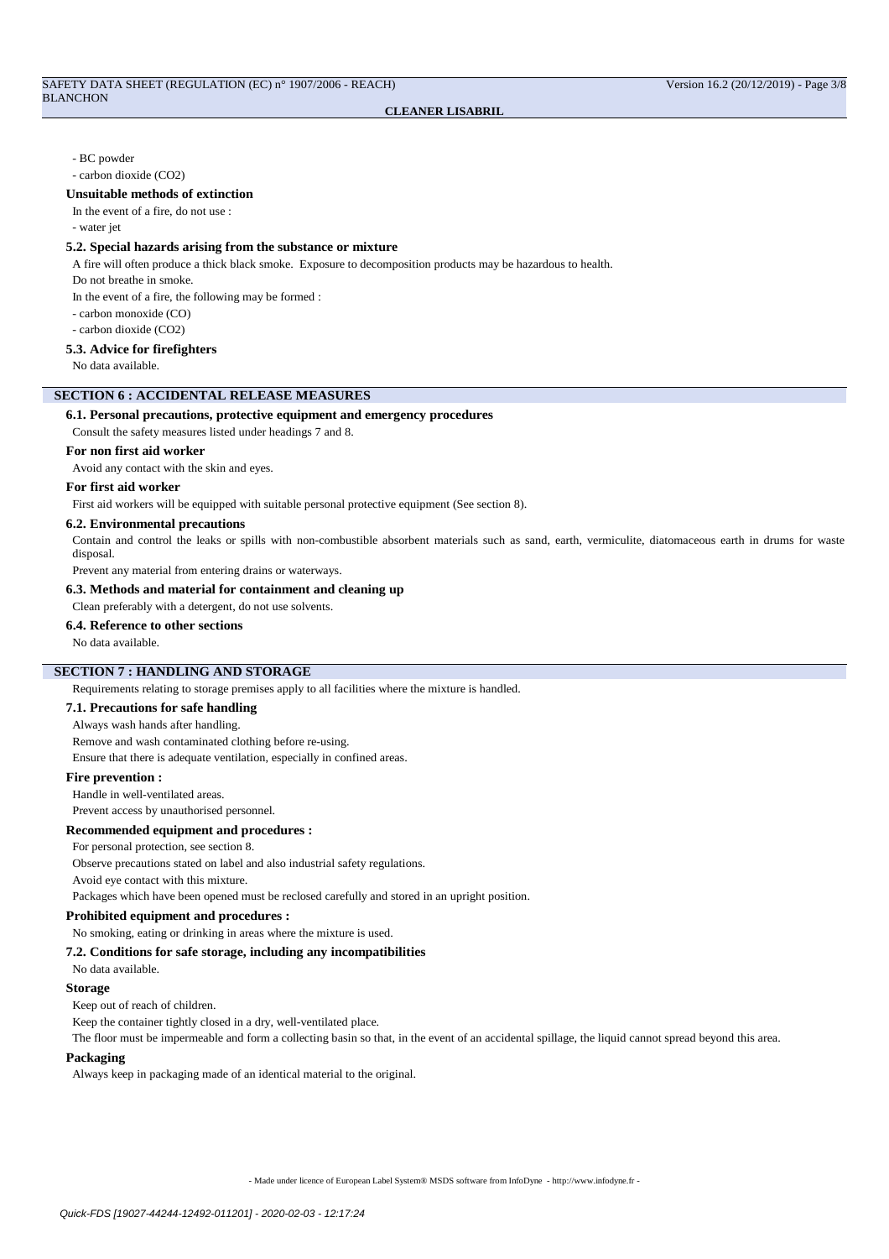#### - BC powder

- carbon dioxide (CO2)

### **Unsuitable methods of extinction**

In the event of a fire, do not use  $\cdot$ 

- water jet

## **5.2. Special hazards arising from the substance or mixture**

A fire will often produce a thick black smoke. Exposure to decomposition products may be hazardous to health.

Do not breathe in smoke.

In the event of a fire, the following may be formed :

- carbon monoxide (CO)

- carbon dioxide (CO2)

### **5.3. Advice for firefighters**

No data available.

## **SECTION 6 : ACCIDENTAL RELEASE MEASURES**

### **6.1. Personal precautions, protective equipment and emergency procedures**

Consult the safety measures listed under headings 7 and 8.

### **For non first aid worker**

Avoid any contact with the skin and eyes.

### **For first aid worker**

First aid workers will be equipped with suitable personal protective equipment (See section 8).

#### **6.2. Environmental precautions**

Contain and control the leaks or spills with non-combustible absorbent materials such as sand, earth, vermiculite, diatomaceous earth in drums for waste disposal.

Prevent any material from entering drains or waterways.

#### **6.3. Methods and material for containment and cleaning up**

#### Clean preferably with a detergent, do not use solvents.

**6.4. Reference to other sections**

No data available.

## **SECTION 7 : HANDLING AND STORAGE**

Requirements relating to storage premises apply to all facilities where the mixture is handled.

### **7.1. Precautions for safe handling**

Always wash hands after handling.

Remove and wash contaminated clothing before re-using.

Ensure that there is adequate ventilation, especially in confined areas.

### **Fire prevention :**

Handle in well-ventilated areas.

Prevent access by unauthorised personnel.

#### **Recommended equipment and procedures :**

For personal protection, see section 8.

Observe precautions stated on label and also industrial safety regulations.

Avoid eye contact with this mixture.

Packages which have been opened must be reclosed carefully and stored in an upright position.

### **Prohibited equipment and procedures :**

No smoking, eating or drinking in areas where the mixture is used.

#### **7.2. Conditions for safe storage, including any incompatibilities**

## No data available.

## **Storage**

Keep out of reach of children.

Keep the container tightly closed in a dry, well-ventilated place.

The floor must be impermeable and form a collecting basin so that, in the event of an accidental spillage, the liquid cannot spread beyond this area.

### **Packaging**

Always keep in packaging made of an identical material to the original.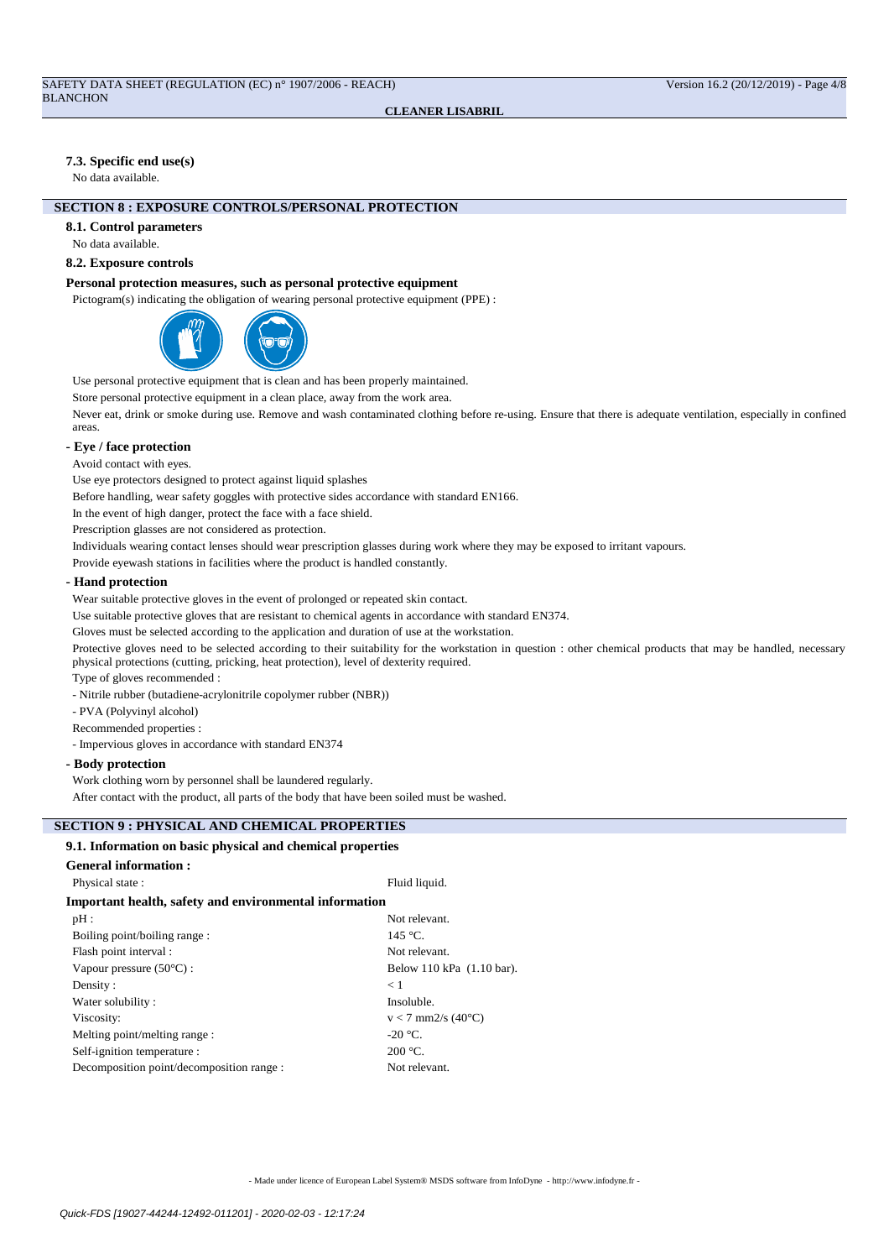## **7.3. Specific end use(s)**

No data available.

## **SECTION 8 : EXPOSURE CONTROLS/PERSONAL PROTECTION**

#### **8.1. Control parameters**

No data available.

#### **8.2. Exposure controls**

### **Personal protection measures, such as personal protective equipment**

Pictogram(s) indicating the obligation of wearing personal protective equipment (PPE) :



Use personal protective equipment that is clean and has been properly maintained.

Store personal protective equipment in a clean place, away from the work area.

Never eat, drink or smoke during use. Remove and wash contaminated clothing before re-using. Ensure that there is adequate ventilation, especially in confined areas.

## **- Eye / face protection**

Avoid contact with eyes.

Use eye protectors designed to protect against liquid splashes

Before handling, wear safety goggles with protective sides accordance with standard EN166.

In the event of high danger, protect the face with a face shield.

Prescription glasses are not considered as protection.

Individuals wearing contact lenses should wear prescription glasses during work where they may be exposed to irritant vapours.

Provide eyewash stations in facilities where the product is handled constantly.

### **- Hand protection**

Wear suitable protective gloves in the event of prolonged or repeated skin contact.

Use suitable protective gloves that are resistant to chemical agents in accordance with standard EN374.

Gloves must be selected according to the application and duration of use at the workstation.

Protective gloves need to be selected according to their suitability for the workstation in question : other chemical products that may be handled, necessary physical protections (cutting, pricking, heat protection), level of dexterity required.

Type of gloves recommended :

- Nitrile rubber (butadiene-acrylonitrile copolymer rubber (NBR))

- PVA (Polyvinyl alcohol)

Recommended properties :

- Impervious gloves in accordance with standard EN374

### **- Body protection**

Work clothing worn by personnel shall be laundered regularly.

After contact with the product, all parts of the body that have been soiled must be washed.

# **SECTION 9 : PHYSICAL AND CHEMICAL PROPERTIES**

### **9.1. Information on basic physical and chemical properties**

| Fluid liquid.                                          |  |  |  |  |
|--------------------------------------------------------|--|--|--|--|
| Important health, safety and environmental information |  |  |  |  |
| Not relevant.                                          |  |  |  |  |
| $145 °C$ .                                             |  |  |  |  |
| Not relevant.                                          |  |  |  |  |
| Below 110 kPa (1.10 bar).                              |  |  |  |  |
| < 1                                                    |  |  |  |  |
| Insoluble.                                             |  |  |  |  |
| $v < 7$ mm2/s (40 $^{\circ}$ C)                        |  |  |  |  |
| $-20$ °C.                                              |  |  |  |  |
| $200 °C$ .                                             |  |  |  |  |
| Not relevant.                                          |  |  |  |  |
|                                                        |  |  |  |  |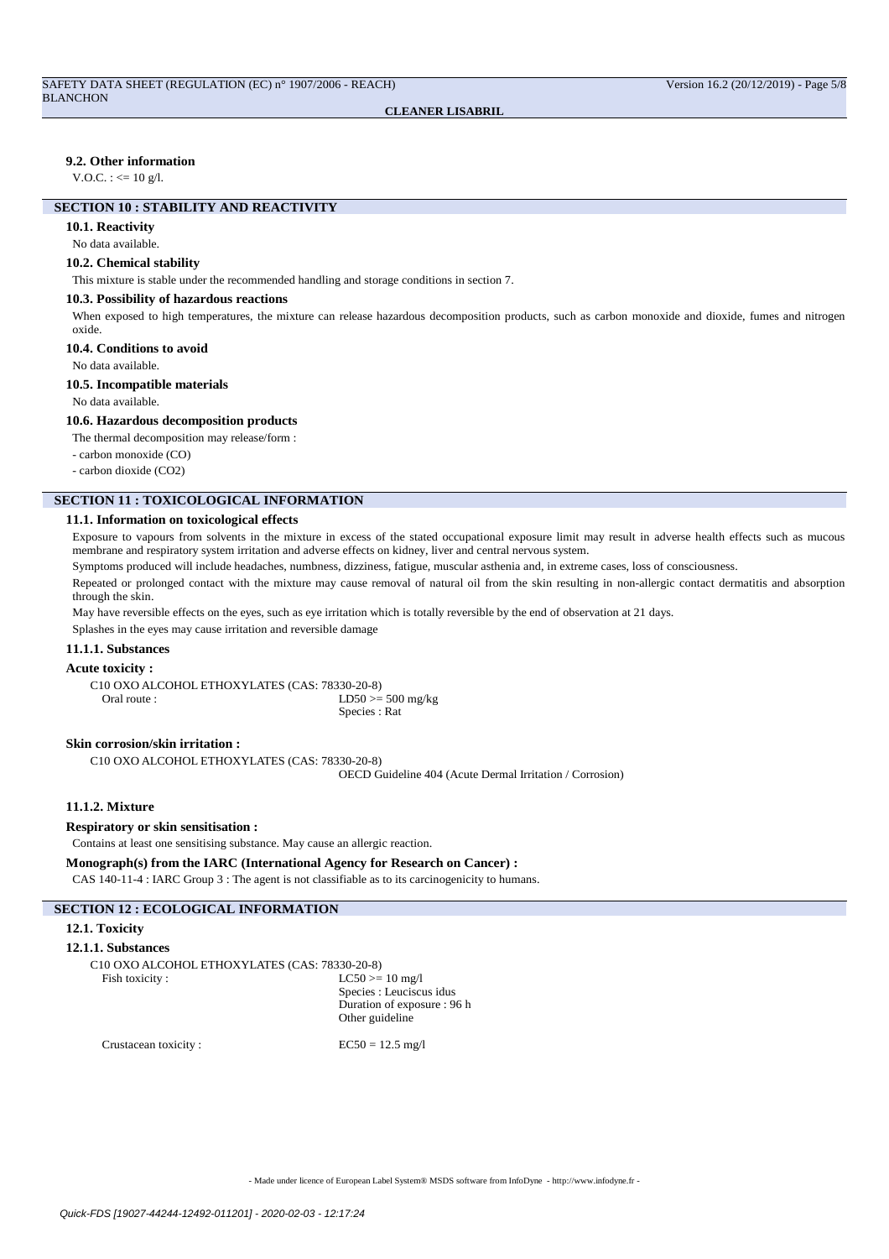### **9.2. Other information**

 $V \Omega C \cdot \le 10 \text{ g/l}$ .

## **SECTION 10 : STABILITY AND REACTIVITY**

### **10.1. Reactivity**

No data available.

#### **10.2. Chemical stability**

This mixture is stable under the recommended handling and storage conditions in section 7.

## **10.3. Possibility of hazardous reactions**

When exposed to high temperatures, the mixture can release hazardous decomposition products, such as carbon monoxide and dioxide, fumes and nitrogen oxide.

### **10.4. Conditions to avoid**

No data available.

#### **10.5. Incompatible materials**

No data available.

## **10.6. Hazardous decomposition products**

The thermal decomposition may release/form :

- carbon monoxide (CO)
- carbon dioxide (CO2)

## **SECTION 11 : TOXICOLOGICAL INFORMATION**

#### **11.1. Information on toxicological effects**

Exposure to vapours from solvents in the mixture in excess of the stated occupational exposure limit may result in adverse health effects such as mucous membrane and respiratory system irritation and adverse effects on kidney, liver and central nervous system.

Symptoms produced will include headaches, numbness, dizziness, fatigue, muscular asthenia and, in extreme cases, loss of consciousness.

Repeated or prolonged contact with the mixture may cause removal of natural oil from the skin resulting in non-allergic contact dermatitis and absorption through the skin.

May have reversible effects on the eyes, such as eye irritation which is totally reversible by the end of observation at 21 days.

Splashes in the eyes may cause irritation and reversible damage

### **11.1.1. Substances**

## **Acute toxicity :**

C10 OXO ALCOHOL ETHOXYLATES (CAS: 78330-20-8) Oral route : LD50 >= 500 mg/kg Species : Rat

## **Skin corrosion/skin irritation :**

C10 OXO ALCOHOL ETHOXYLATES (CAS: 78330-20-8)

OECD Guideline 404 (Acute Dermal Irritation / Corrosion)

## **11.1.2. Mixture**

### **Respiratory or skin sensitisation :**

Contains at least one sensitising substance. May cause an allergic reaction.

#### **Monograph(s) from the IARC (International Agency for Research on Cancer) :**

CAS 140-11-4 : IARC Group 3 : The agent is not classifiable as to its carcinogenicity to humans.

## **SECTION 12 : ECOLOGICAL INFORMATION**

## **12.1. Toxicity**

#### **12.1.1. Substances**

C10 OXO ALCOHOL ETHOXYLATES (CAS: 78330-20-8) Fish toxicity :  $LC50 \ge 10 \text{ mg/l}$ 

Species : Leuciscus idus Duration of exposure : 96 h Other guideline

Crustacean toxicity :  $EC50 = 12.5$  mg/l

- Made under licence of European Label System® MSDS software from InfoDyne - http://www.infodyne.fr -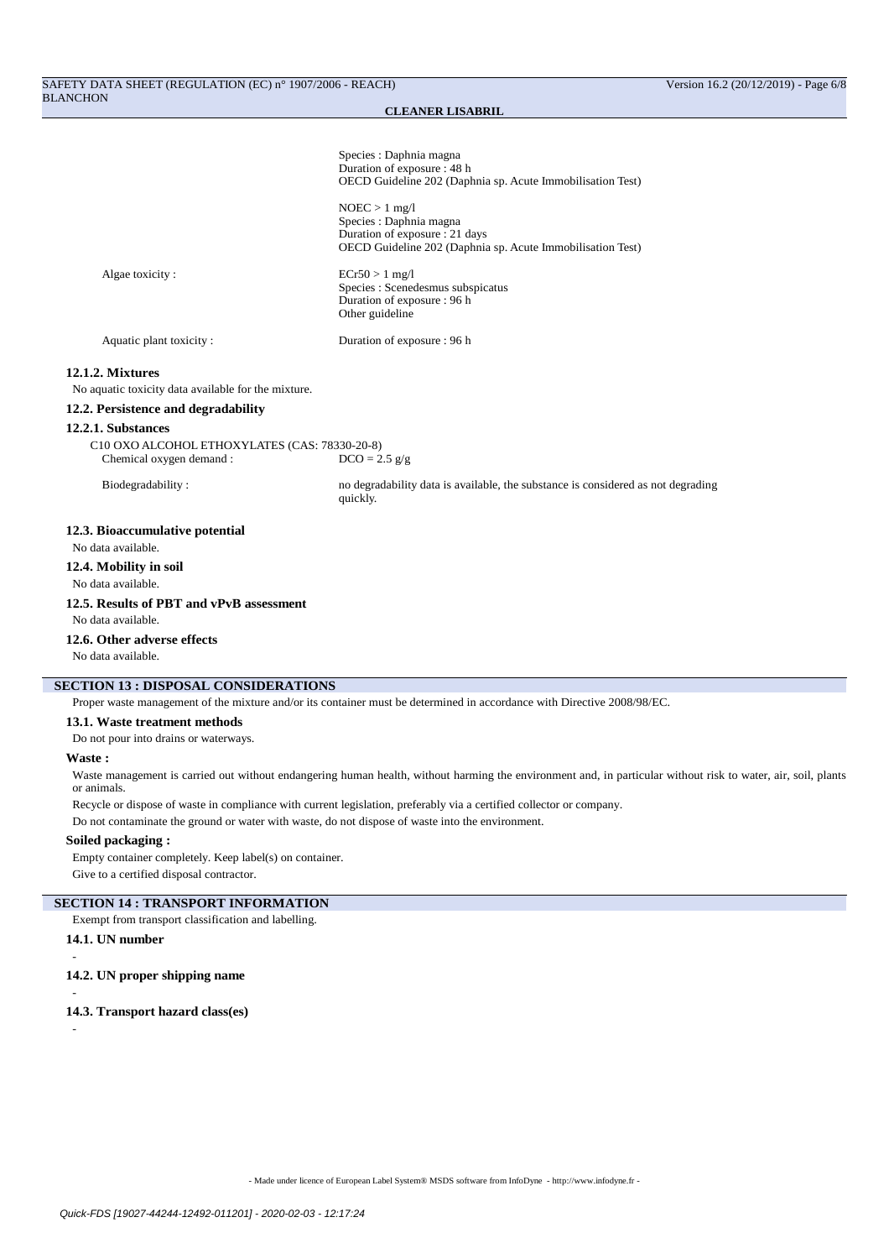| <b>CLEANER LISABRIL</b>                                                   |                                                                                                                                            |  |
|---------------------------------------------------------------------------|--------------------------------------------------------------------------------------------------------------------------------------------|--|
|                                                                           |                                                                                                                                            |  |
|                                                                           | Species : Daphnia magna<br>Duration of exposure : 48 h<br>OECD Guideline 202 (Daphnia sp. Acute Immobilisation Test)                       |  |
|                                                                           | $NOEC > 1$ mg/l<br>Species : Daphnia magna<br>Duration of exposure : 21 days<br>OECD Guideline 202 (Daphnia sp. Acute Immobilisation Test) |  |
| Algae toxicity:                                                           | $ECr50 > 1$ mg/l<br>Species : Scenedesmus subspicatus<br>Duration of exposure: 96 h<br>Other guideline                                     |  |
| Aquatic plant toxicity:                                                   | Duration of exposure : 96 h                                                                                                                |  |
| 12.1.2. Mixtures                                                          |                                                                                                                                            |  |
| No aquatic toxicity data available for the mixture.                       |                                                                                                                                            |  |
| 12.2. Persistence and degradability                                       |                                                                                                                                            |  |
| 12.2.1. Substances                                                        |                                                                                                                                            |  |
| C10 OXO ALCOHOL ETHOXYLATES (CAS: 78330-20-8)<br>Chemical oxygen demand : | $DCO = 2.5$ g/g                                                                                                                            |  |
| Biodegradability:                                                         | no degradability data is available, the substance is considered as not degrading<br>quickly.                                               |  |
| 12.3. Bioaccumulative potential                                           |                                                                                                                                            |  |
| No data available.                                                        |                                                                                                                                            |  |
| 12.4. Mobility in soil                                                    |                                                                                                                                            |  |
| No data available.                                                        |                                                                                                                                            |  |
| 12.5. Results of PBT and vPvB assessment                                  |                                                                                                                                            |  |
| No data available.                                                        |                                                                                                                                            |  |
| 12.6. Other adverse effects                                               |                                                                                                                                            |  |
| No data available.                                                        |                                                                                                                                            |  |
|                                                                           |                                                                                                                                            |  |

# **SECTION 13 : DISPOSAL CONSIDERATIONS**

Proper waste management of the mixture and/or its container must be determined in accordance with Directive 2008/98/EC.

## **13.1. Waste treatment methods**

Do not pour into drains or waterways.

## **Waste :**

Waste management is carried out without endangering human health, without harming the environment and, in particular without risk to water, air, soil, plants or animals.

Recycle or dispose of waste in compliance with current legislation, preferably via a certified collector or company.

Do not contaminate the ground or water with waste, do not dispose of waste into the environment.

# **Soiled packaging :**

Empty container completely. Keep label(s) on container. Give to a certified disposal contractor.

# **SECTION 14 : TRANSPORT INFORMATION**

Exempt from transport classification and labelling.

# **14.1. UN number**

-

-

-

**14.2. UN proper shipping name**

## **14.3. Transport hazard class(es)**

- Made under licence of European Label System® MSDS software from InfoDyne - http://www.infodyne.fr -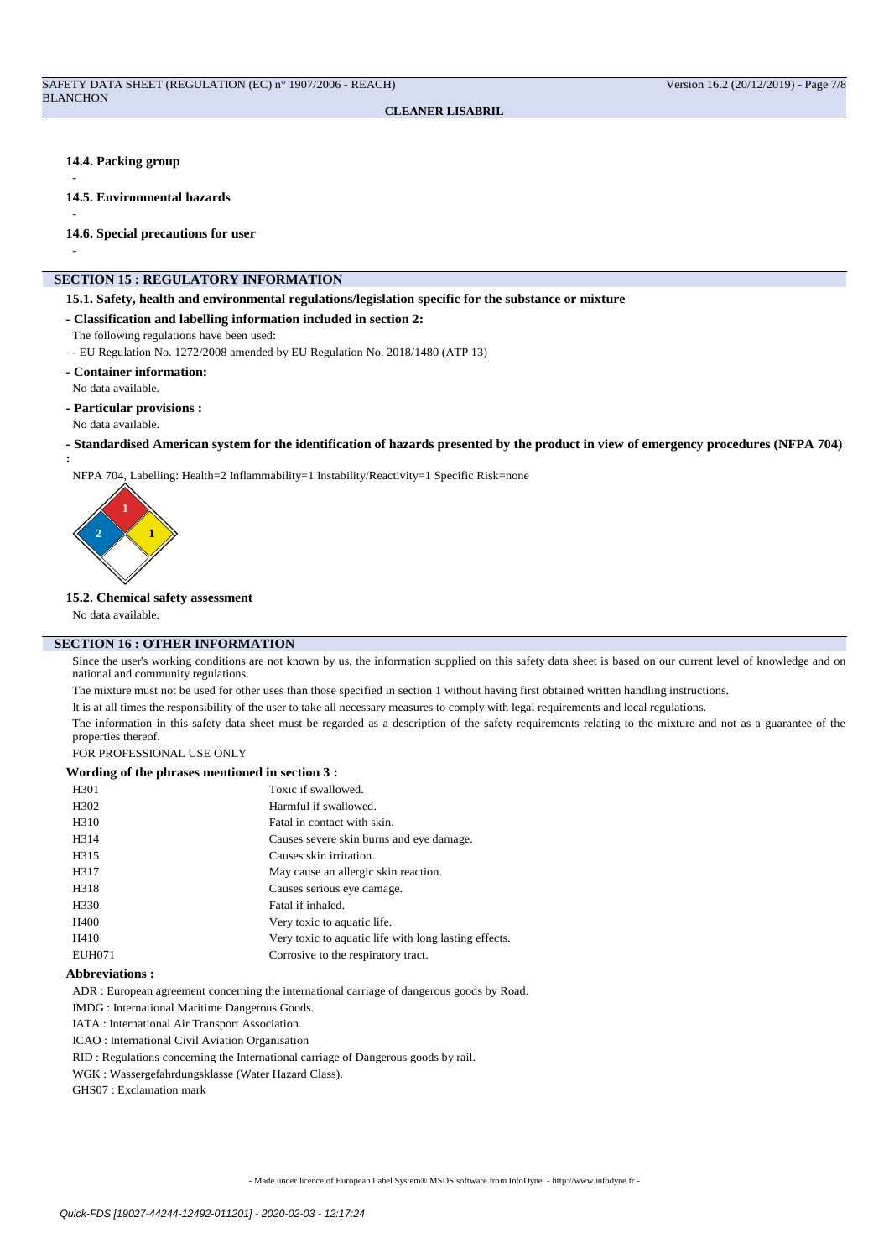- **14.4. Packing group**
- **14.5. Environmental hazards**
- -

-

**:**

-

- **14.6. Special precautions for user**
- **SECTION 15 : REGULATORY INFORMATION**
	- **15.1. Safety, health and environmental regulations/legislation specific for the substance or mixture**
	- **Classification and labelling information included in section 2:**
	- The following regulations have been used:
	- EU Regulation No. 1272/2008 amended by EU Regulation No. 2018/1480 (ATP 13)
	- **Container information:**
	- No data available.
	- **Particular provisions :**

No data available.

**- Standardised American system for the identification of hazards presented by the product in view of emergency procedures (NFPA 704)**

NFPA 704, Labelling: Health=2 Inflammability=1 Instability/Reactivity=1 Specific Risk=none



## **15.2. Chemical safety assessment**

No data available.

## **SECTION 16 : OTHER INFORMATION**

Since the user's working conditions are not known by us, the information supplied on this safety data sheet is based on our current level of knowledge and on national and community regulations.

The mixture must not be used for other uses than those specified in section 1 without having first obtained written handling instructions.

It is at all times the responsibility of the user to take all necessary measures to comply with legal requirements and local regulations.

The information in this safety data sheet must be regarded as a description of the safety requirements relating to the mixture and not as a guarantee of the properties thereof.

FOR PROFESSIONAL USE ONLY

#### **Wording of the phrases mentioned in section 3 :**

| H301              | Toxic if swallowed.                                   |
|-------------------|-------------------------------------------------------|
| H <sub>3</sub> 02 | Harmful if swallowed.                                 |
| H310              | Fatal in contact with skin.                           |
| H314              | Causes severe skin burns and eye damage.              |
| H315              | Causes skin irritation.                               |
| H317              | May cause an allergic skin reaction.                  |
| H318              | Causes serious eye damage.                            |
| H <sub>330</sub>  | Fatal if inhaled.                                     |
| H400              | Very toxic to aquatic life.                           |
| H410              | Very toxic to aquatic life with long lasting effects. |
| <b>EUH071</b>     | Corrosive to the respiratory tract.                   |
|                   |                                                       |

## **Abbreviations :**

ADR : European agreement concerning the international carriage of dangerous goods by Road.

IMDG : International Maritime Dangerous Goods.

IATA : International Air Transport Association.

ICAO : International Civil Aviation Organisation

RID : Regulations concerning the International carriage of Dangerous goods by rail.

WGK : Wassergefahrdungsklasse (Water Hazard Class).

GHS07 : Exclamation mark